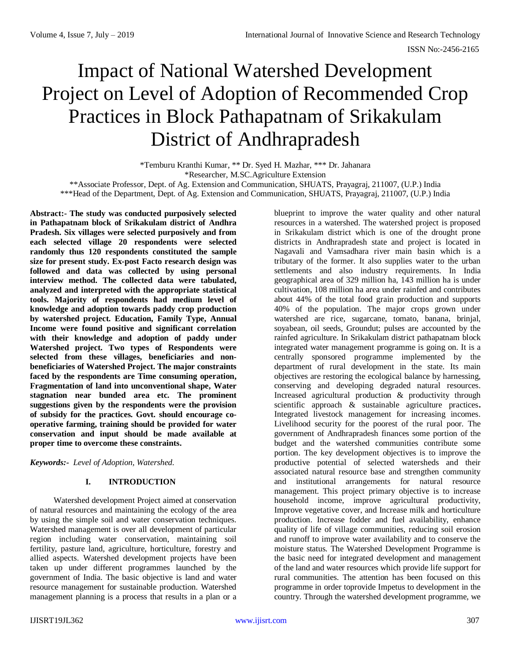# Impact of National Watershed Development Project on Level of Adoption of Recommended Crop Practices in Block Pathapatnam of Srikakulam District of Andhrapradesh

\*Temburu Kranthi Kumar, \*\* Dr. Syed H. Mazhar, \*\*\* Dr. Jahanara \*Researcher, M.SC.Agriculture Extension \*\*Associate Professor, Dept. of Ag. Extension and Communication, SHUATS, Prayagraj, 211007, (U.P.) India \*\*\*Head of the Department, Dept. of Ag. Extension and Communication, SHUATS, Prayagraj, 211007, (U.P.) India

**Abstract:- The study was conducted purposively selected in Pathapatnam block of Srikakulam district of Andhra Pradesh. Six villages were selected purposively and from each selected village 20 respondents were selected randomly thus 120 respondents constituted the sample size for present study. Ex-post Facto research design was followed and data was collected by using personal interview method. The collected data were tabulated, analyzed and interpreted with the appropriate statistical tools. Majority of respondents had medium level of knowledge and adoption towards paddy crop production by watershed project. Education, Family Type, Annual Income were found positive and significant correlation with their knowledge and adoption of paddy under Watershed project. Two types of Respondents were selected from these villages, beneficiaries and nonbeneficiaries of Watershed Project. The major constraints faced by the respondents are Time consuming operation, Fragmentation of land into unconventional shape, Water stagnation near bunded area etc. The prominent suggestions given by the respondents were the provision of subsidy for the practices. Govt. should encourage cooperative farming, training should be provided for water conservation and input should be made available at proper time to overcome these constraints.**

*Keywords:- Level of Adoption, Watershed.*

# **I. INTRODUCTION**

Watershed development Project aimed at conservation of natural resources and maintaining the ecology of the area by using the simple soil and water conservation techniques. Watershed management is over all development of particular region including water conservation, maintaining soil fertility, pasture land, agriculture, horticulture, forestry and allied aspects. Watershed development projects have been taken up under different programmes launched by the government of India. The basic objective is land and water resource management for sustainable production. Watershed management planning is a process that results in a plan or a

blueprint to improve the water quality and other natural resources in a watershed. The watershed project is proposed in Srikakulam district which is one of the drought prone districts in Andhrapradesh state and project is located in Nagavali and Vamsadhara river main basin which is a tributary of the former. It also supplies water to the urban settlements and also industry requirements. In India geographical area of 329 million ha, 143 million ha is under cultivation, 108 million ha area under rainfed and contributes about 44% of the total food grain production and supports 40% of the population. The major crops grown under watershed are rice, sugarcane, tomato, banana, brinjal, soyabean, oil seeds, Groundut; pulses are accounted by the rainfed agriculture. In Srikakulam district pathapatnam block integrated water management programme is going on. It is a centrally sponsored programme implemented by the department of rural development in the state. Its main objectives are restoring the ecological balance by harnessing, conserving and developing degraded natural resources. Increased agricultural production & productivity through scientific approach & sustainable agriculture practices**.** Integrated livestock management for increasing incomes. Livelihood security for the poorest of the rural poor. The government of Andhrapradesh finances some portion of the budget and the watershed communities contribute some portion. The key development objectives is to improve the productive potential of selected watersheds and their associated natural resource base and strengthen community and institutional arrangements for natural resource management. This project primary objective is to increase household income, improve agricultural productivity, Improve vegetative cover, and Increase milk and horticulture production. Increase fodder and fuel availability, enhance quality of life of village communities, reducing soil erosion and runoff to improve water availability and to conserve the moisture status. The Watershed Development Programme is the basic need for integrated development and management of the land and water resources which provide life support for rural communities. The attention has been focused on this programme in order toprovide Impetus to development in the country. Through the watershed development programme, we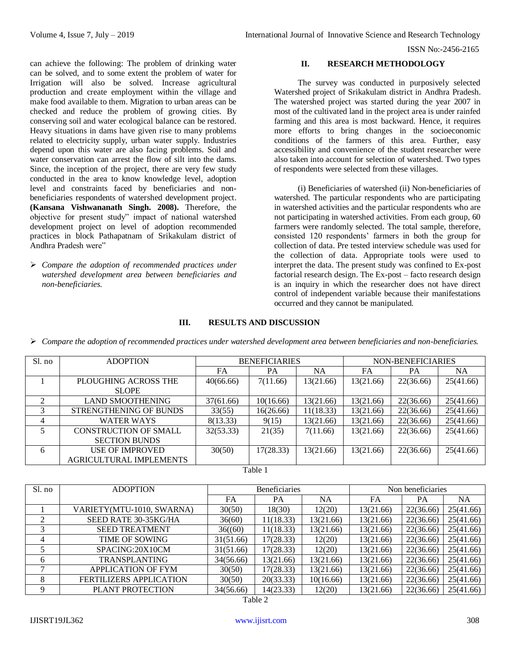can achieve the following: The problem of drinking water can be solved, and to some extent the problem of water for Irrigation will also be solved. Increase agricultural production and create employment within the village and make food available to them. Migration to urban areas can be checked and reduce the problem of growing cities. By conserving soil and water ecological balance can be restored. Heavy situations in dams have given rise to many problems related to electricity supply, urban water supply. Industries depend upon this water are also facing problems. Soil and water conservation can arrest the flow of silt into the dams. Since, the inception of the project, there are very few study conducted in the area to know knowledge level, adoption level and constraints faced by beneficiaries and nonbeneficiaries respondents of watershed development project. **(Kansana Vishwananath Singh. 2008).** Therefore, the objective for present study" impact of national watershed development project on level of adoption recommended practices in block Pathapatnam of Srikakulam district of Andhra Pradesh were"

 *Compare the adoption of recommended practices under watershed development area between beneficiaries and non-beneficiaries.*

# **II. RESEARCH METHODOLOGY**

The survey was conducted in purposively selected Watershed project of Srikakulam district in Andhra Pradesh. The watershed project was started during the year 2007 in most of the cultivated land in the project area is under rainfed farming and this area is most backward. Hence, it requires more efforts to bring changes in the socioeconomic conditions of the farmers of this area. Further, easy accessibility and convenience of the student researcher were also taken into account for selection of watershed. Two types of respondents were selected from these villages.

(i) Beneficiaries of watershed (ii) Non-beneficiaries of watershed. The particular respondents who are participating in watershed activities and the particular respondents who are not participating in watershed activities. From each group, 60 farmers were randomly selected. The total sample, therefore, consisted 120 respondents' farmers in both the group for collection of data. Pre tested interview schedule was used for the collection of data. Appropriate tools were used to interpret the data. The present study was confined to Ex-post factorial research design. The Ex-post – facto research design is an inquiry in which the researcher does not have direct control of independent variable because their manifestations occurred and they cannot be manipulated.

# **III. RESULTS AND DISCUSSION**

*Compare the adoption of recommended practices under watershed development area between beneficiaries and non-beneficiaries.*

| Sl. no        | <b>ADOPTION</b>              | <b>BENEFICIARIES</b> |           |           | NON-BENEFICIARIES |           |           |
|---------------|------------------------------|----------------------|-----------|-----------|-------------------|-----------|-----------|
|               |                              | FA                   | PA        | NA        | FA                | PА        | NA        |
|               | PLOUGHING ACROSS THE         | 40(66.66)            | 7(11.66)  | 13(21.66) | 13(21.66)         | 22(36.66) | 25(41.66) |
|               | <b>SLOPE</b>                 |                      |           |           |                   |           |           |
| $\mathcal{D}$ | <b>LAND SMOOTHENING</b>      | 37(61.66)            | 10(16.66) | 13(21.66) | 13(21.66)         | 22(36.66) | 25(41.66) |
| 3             | STRENGTHENING OF BUNDS       | 33(55)               | 16(26.66) | 11(18.33) | 13(21.66)         | 22(36.66) | 25(41.66) |
| 4             | <b>WATER WAYS</b>            | 8(13.33)             | 9(15)     | 13(21.66) | 13(21.66)         | 22(36.66) | 25(41.66) |
|               | <b>CONSTRUCTION OF SMALL</b> | 32(53.33)            | 21(35)    | 7(11.66)  | 13(21.66)         | 22(36.66) | 25(41.66) |
|               | <b>SECTION BUNDS</b>         |                      |           |           |                   |           |           |
| 6             | <b>USE OF IMPROVED</b>       | 30(50)               | 17(28.33) | 13(21.66) | 13(21.66)         | 22(36.66) | 25(41.66) |
|               | AGRICULTURAL IMPLEMENTS      |                      |           |           |                   |           |           |

#### Table 1

| Sl. no         | <b>ADOPTION</b>                | <b>Beneficiaries</b> |           |           | Non beneficiaries |           |           |
|----------------|--------------------------------|----------------------|-----------|-----------|-------------------|-----------|-----------|
|                |                                | FA                   | PA        | <b>NA</b> | FA                | PА        | NA.       |
|                | VARIETY(MTU-1010, SWARNA)      | 30(50)               | 18(30)    | 12(20)    | 13(21.66)         | 22(36.66) | 25(41.66) |
|                | SEED RATE 30-35KG/HA           | 36(60)               | 11(18.33) | 13(21.66) | 13(21.66)         | 22(36.66) | 25(41.66) |
| 3              | <b>SEED TREATMENT</b>          | 36(60)               | 11(18.33) | 13(21.66) | 13(21.66)         | 22(36.66) | 25(41.66) |
| $\overline{4}$ | <b>TIME OF SOWING</b>          | 31(51.66)            | 17(28.33) | 12(20)    | 13(21.66)         | 22(36.66) | 25(41.66) |
|                | SPACING:20X10CM                | 31(51.66)            | 17(28.33) | 12(20)    | 13(21.66)         | 22(36.66) | 25(41.66) |
| 6              | <b>TRANSPLANTING</b>           | 34(56.66)            | 13(21.66) | 13(21.66) | 13(21.66)         | 22(36.66) | 25(41.66) |
| 7              | <b>APPLICATION OF FYM</b>      | 30(50)               | 17(28.33) | 13(21.66) | 13(21.66)         | 22(36.66) | 25(41.66) |
| 8              | <b>FERTILIZERS APPLICATION</b> | 30(50)               | 20(33.33) | 10(16.66) | 13(21.66)         | 22(36.66) | 25(41.66) |
| 9              | PLANT PROTECTION               | 34(56.66)            | 14(23.33) | 12(20)    | 13(21.66)         | 22(36.66) | 25(41.66) |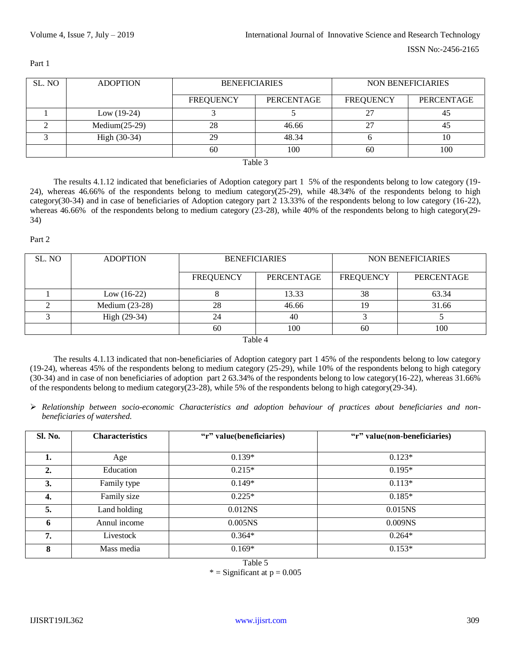| SL. NO                     | <b>ADOPTION</b> | <b>BENEFICIARIES</b> |            | NON BENEFICIARIES |            |  |
|----------------------------|-----------------|----------------------|------------|-------------------|------------|--|
|                            |                 | <b>FREQUENCY</b>     | PERCENTAGE | <b>FREQUENCY</b>  | PERCENTAGE |  |
|                            | Low $(19-24)$   |                      |            | רר                | 45         |  |
|                            | $Median(25-29)$ | 28                   | 46.66      | າາ                | 45         |  |
|                            | High $(30-34)$  | 29                   | 48.34      |                   | 10         |  |
|                            |                 | 60                   | 100        | 60                | 100        |  |
| $T_{\alpha}$ 1.1. $\alpha$ |                 |                      |            |                   |            |  |

Part 1

Table 3

The results 4.1.12 indicated that beneficiaries of Adoption category part 1 5% of the respondents belong to low category (19- 24), whereas 46.66% of the respondents belong to medium category(25-29), while 48.34% of the respondents belong to high category(30-34) and in case of beneficiaries of Adoption category part 2 13.33% of the respondents belong to low category (16-22), whereas 46.66% of the respondents belong to medium category (23-28), while 40% of the respondents belong to high category(29-34)

## Part 2

| SL. NO | <b>ADOPTION</b>  | <b>BENEFICIARIES</b> |            | NON BENEFICIARIES |            |  |
|--------|------------------|----------------------|------------|-------------------|------------|--|
|        |                  | <b>FREQUENCY</b>     | PERCENTAGE | <b>FREQUENCY</b>  | PERCENTAGE |  |
|        | Low $(16-22)$    |                      | 13.33      | 38                | 63.34      |  |
|        | Medium $(23-28)$ | 28                   | 46.66      |                   | 31.66      |  |
|        | High (29-34)     | 24                   | 40         |                   |            |  |
|        |                  | 60                   | 100        | 60                | 100        |  |

Table 4

The results 4.1.13 indicated that non-beneficiaries of Adoption category part 1 45% of the respondents belong to low category (19-24), whereas 45% of the respondents belong to medium category (25-29), while 10% of the respondents belong to high category (30-34) and in case of non beneficiaries of adoption part 2 63.34% of the respondents belong to low category(16-22), whereas 31.66% of the respondents belong to medium category(23-28), while 5% of the respondents belong to high category(29-34).

 *Relationship between socio-economic Characteristics and adoption behaviour of practices about beneficiaries and nonbeneficiaries of watershed.*

| <b>Sl. No.</b> | <b>Characteristics</b> | "r" value(beneficiaries) | "r" value(non-beneficiaries) |
|----------------|------------------------|--------------------------|------------------------------|
|                |                        |                          |                              |
| ı.             | Age                    | $0.139*$                 | $0.123*$                     |
| 2.             | Education              | $0.215*$                 | $0.195*$                     |
| 3.             | Family type            | $0.149*$                 | $0.113*$                     |
| 4.             | Family size            | $0.225*$                 | $0.185*$                     |
| 5.             | Land holding           | 0.012 <sub>NS</sub>      | 0.015 <sub>NS</sub>          |
| 6              | Annul income           | 0.005 <sub>NS</sub>      | 0.009 <sub>NS</sub>          |
| 7.             | Livestock              | $0.364*$                 | $0.264*$                     |
| 8              | Mass media             | $0.169*$                 | $0.153*$                     |

Table 5

 $*$  = Significant at  $p = 0.005$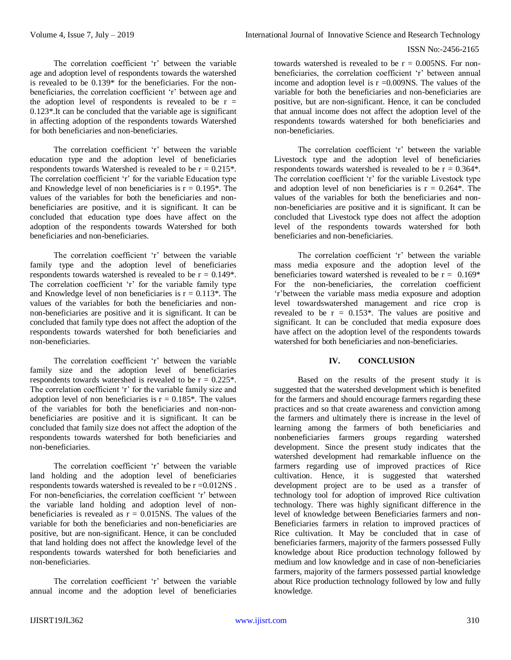## ISSN No:-2456-2165

The correlation coefficient 'r' between the variable age and adoption level of respondents towards the watershed is revealed to be 0.139\* for the beneficiaries. For the nonbeneficiaries, the correlation coefficient 'r' between age and the adoption level of respondents is revealed to be  $r =$ 0.123\*.It can be concluded that the variable age is significant in affecting adoption of the respondents towards Watershed for both beneficiaries and non-beneficiaries.

The correlation coefficient 'r' between the variable education type and the adoption level of beneficiaries respondents towards Watershed is revealed to be  $r = 0.215$ . The correlation coefficient 'r' for the variable Education type and Knowledge level of non beneficiaries is  $r = 0.195^*$ . The values of the variables for both the beneficiaries and nonbeneficiaries are positive, and it is significant. It can be concluded that education type does have affect on the adoption of the respondents towards Watershed for both beneficiaries and non-beneficiaries.

The correlation coefficient 'r' between the variable family type and the adoption level of beneficiaries respondents towards watershed is revealed to be  $r = 0.149$ <sup>\*</sup>. The correlation coefficient 'r' for the variable family type and Knowledge level of non beneficiaries is  $r = 0.113$ <sup>\*</sup>. The values of the variables for both the beneficiaries and nonnon-beneficiaries are positive and it is significant. It can be concluded that family type does not affect the adoption of the respondents towards watershed for both beneficiaries and non-beneficiaries.

The correlation coefficient 'r' between the variable family size and the adoption level of beneficiaries respondents towards watershed is revealed to be  $r = 0.225$ . The correlation coefficient 'r' for the variable family size and adoption level of non beneficiaries is  $r = 0.185^*$ . The values of the variables for both the beneficiaries and non-nonbeneficiaries are positive and it is significant. It can be concluded that family size does not affect the adoption of the respondents towards watershed for both beneficiaries and non-beneficiaries.

The correlation coefficient 'r' between the variable land holding and the adoption level of beneficiaries respondents towards watershed is revealed to be r =0.012NS . For non-beneficiaries, the correlation coefficient 'r' between the variable land holding and adoption level of nonbeneficiaries is revealed as  $r = 0.015$ NS. The values of the variable for both the beneficiaries and non-beneficiaries are positive, but are non-significant. Hence, it can be concluded that land holding does not affect the knowledge level of the respondents towards watershed for both beneficiaries and non-beneficiaries.

The correlation coefficient 'r' between the variable annual income and the adoption level of beneficiaries towards watershed is revealed to be  $r = 0.005$ NS. For nonbeneficiaries, the correlation coefficient 'r' between annual income and adoption level is  $r = 0.009$ NS. The values of the variable for both the beneficiaries and non-beneficiaries are positive, but are non-significant. Hence, it can be concluded that annual income does not affect the adoption level of the respondents towards watershed for both beneficiaries and non-beneficiaries.

The correlation coefficient 'r' between the variable Livestock type and the adoption level of beneficiaries respondents towards watershed is revealed to be  $r = 0.364$ <sup>\*</sup>. The correlation coefficient 'r' for the variable Livestock type and adoption level of non beneficiaries is  $r = 0.264$ <sup>\*</sup>. The values of the variables for both the beneficiaries and nonnon-beneficiaries are positive and it is significant. It can be concluded that Livestock type does not affect the adoption level of the respondents towards watershed for both beneficiaries and non-beneficiaries.

The correlation coefficient 'r' between the variable mass media exposure and the adoption level of the beneficiaries toward watershed is revealed to be  $r = 0.169*$ For the non-beneficiaries, the correlation coefficient 'r'between the variable mass media exposure and adoption level towardswatershed management and rice crop is revealed to be  $r = 0.153$ \*. The values are positive and significant. It can be concluded that media exposure does have affect on the adoption level of the respondents towards watershed for both beneficiaries and non-beneficiaries.

# **IV. CONCLUSION**

Based on the results of the present study it is suggested that the watershed development which is benefited for the farmers and should encourage farmers regarding these practices and so that create awareness and conviction among the farmers and ultimately there is increase in the level of learning among the farmers of both beneficiaries and nonbeneficiaries farmers groups regarding watershed development. Since the present study indicates that the watershed development had remarkable influence on the farmers regarding use of improved practices of Rice cultivation. Hence, it is suggested that watershed development project are to be used as a transfer of technology tool for adoption of improved Rice cultivation technology. There was highly significant difference in the level of knowledge between Beneficiaries farmers and non-Beneficiaries farmers in relation to improved practices of Rice cultivation. It May be concluded that in case of beneficiaries farmers, majority of the farmers possessed Fully knowledge about Rice production technology followed by medium and low knowledge and in case of non-beneficiaries farmers, majority of the farmers possessed partial knowledge about Rice production technology followed by low and fully knowledge.